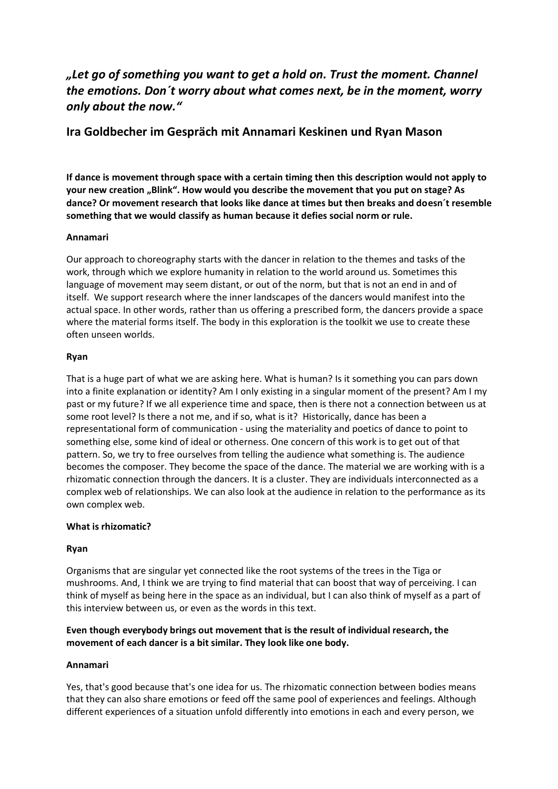# *"Let go of something you want to get a hold on. Trust the moment. Channel the emotions. Don´t worry about what comes next, be in the moment, worry only about the now."*

## **Ira Goldbecher im Gespräch mit Annamari Keskinen und Ryan Mason**

**If dance is movement through space with a certain timing then this description would not apply to your new creation "Blink". How would you describe the movement that you put on stage? As dance? Or movement research that looks like dance at times but then breaks and doesn´t resemble something that we would classify as human because it defies social norm or rule.**

## **Annamari**

Our approach to choreography starts with the dancer in relation to the themes and tasks of the work, through which we explore humanity in relation to the world around us. Sometimes this language of movement may seem distant, or out of the norm, but that is not an end in and of itself. We support research where the inner landscapes of the dancers would manifest into the actual space. In other words, rather than us offering a prescribed form, the dancers provide a space where the material forms itself. The body in this exploration is the toolkit we use to create these often unseen worlds.

#### **Ryan**

That is a huge part of what we are asking here. What is human? Is it something you can pars down into a finite explanation or identity? Am I only existing in a singular moment of the present? Am I my past or my future? If we all experience time and space, then is there not a connection between us at some root level? Is there a not me, and if so, what is it? Historically, dance has been a representational form of communication - using the materiality and poetics of dance to point to something else, some kind of ideal or otherness. One concern of this work is to get out of that pattern. So, we try to free ourselves from telling the audience what something is. The audience becomes the composer. They become the space of the dance. The material we are working with is a rhizomatic connection through the dancers. It is a cluster. They are individuals interconnected as a complex web of relationships. We can also look at the audience in relation to the performance as its own complex web.

## **What is rhizomatic?**

## **Ryan**

Organisms that are singular yet connected like the root systems of the trees in the Tiga or mushrooms. And, I think we are trying to find material that can boost that way of perceiving. I can think of myself as being here in the space as an individual, but I can also think of myself as a part of this interview between us, or even as the words in this text.

## **Even though everybody brings out movement that is the result of individual research, the movement of each dancer is a bit similar. They look like one body.**

#### **Annamari**

Yes, that's good because that's one idea for us. The rhizomatic connection between bodies means that they can also share emotions or feed off the same pool of experiences and feelings. Although different experiences of a situation unfold differently into emotions in each and every person, we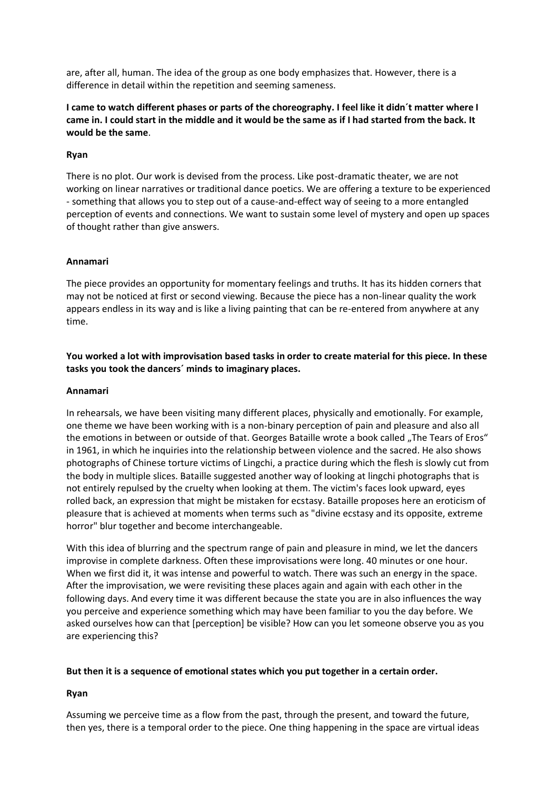are, after all, human. The idea of the group as one body emphasizes that. However, there is a difference in detail within the repetition and seeming sameness.

#### **I came to watch different phases or parts of the choreography. I feel like it didn´t matter where I came in. I could start in the middle and it would be the same as if I had started from the back. It would be the same**.

#### **Ryan**

There is no plot. Our work is devised from the process. Like post-dramatic theater, we are not working on linear narratives or traditional dance poetics. We are offering a texture to be experienced - something that allows you to step out of a cause-and-effect way of seeing to a more entangled perception of events and connections. We want to sustain some level of mystery and open up spaces of thought rather than give answers.

#### **Annamari**

The piece provides an opportunity for momentary feelings and truths. It has its hidden corners that may not be noticed at first or second viewing. Because the piece has a non-linear quality the work appears endless in its way and is like a living painting that can be re-entered from anywhere at any time.

## **You worked a lot with improvisation based tasks in order to create material for this piece. In these tasks you took the dancers´ minds to imaginary places.**

#### **Annamari**

In rehearsals, we have been visiting many different places, physically and emotionally. For example, one theme we have been working with is a non-binary perception of pain and pleasure and also all the emotions in between or outside of that. Georges Bataille wrote a book called "The Tears of Eros" in 1961, in which he inquiries into the relationship between violence and the sacred. He also shows photographs of Chinese torture victims of Lingchi, a practice during which the flesh is slowly cut from the body in multiple slices. Bataille suggested another way of looking at lingchi photographs that is not entirely repulsed by the cruelty when looking at them. The victim's faces look upward, eyes rolled back, an expression that might be mistaken for ecstasy. Bataille proposes here an eroticism of pleasure that is achieved at moments when terms such as "divine ecstasy and its opposite, extreme horror" blur together and become interchangeable.

With this idea of blurring and the spectrum range of pain and pleasure in mind, we let the dancers improvise in complete darkness. Often these improvisations were long. 40 minutes or one hour. When we first did it, it was intense and powerful to watch. There was such an energy in the space. After the improvisation, we were revisiting these places again and again with each other in the following days. And every time it was different because the state you are in also influences the way you perceive and experience something which may have been familiar to you the day before. We asked ourselves how can that [perception] be visible? How can you let someone observe you as you are experiencing this?

#### **But then it is a sequence of emotional states which you put together in a certain order.**

## **Ryan**

Assuming we perceive time as a flow from the past, through the present, and toward the future, then yes, there is a temporal order to the piece. One thing happening in the space are virtual ideas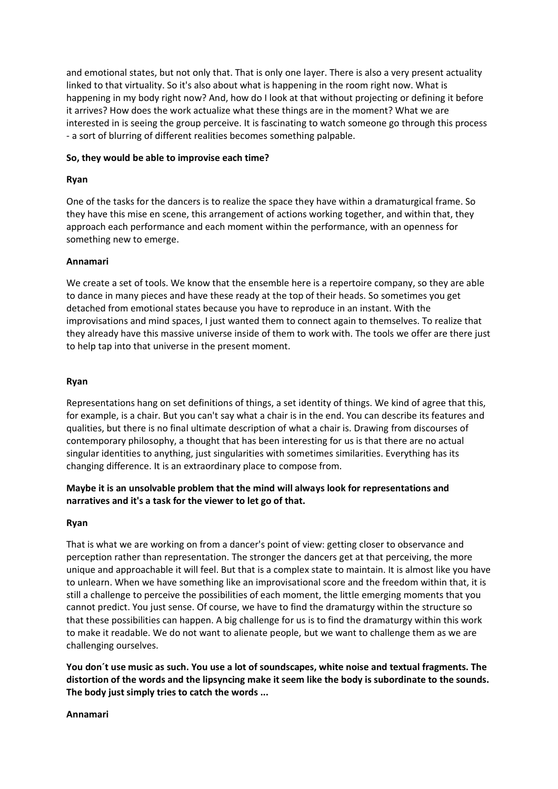and emotional states, but not only that. That is only one layer. There is also a very present actuality linked to that virtuality. So it's also about what is happening in the room right now. What is happening in my body right now? And, how do I look at that without projecting or defining it before it arrives? How does the work actualize what these things are in the moment? What we are interested in is seeing the group perceive. It is fascinating to watch someone go through this process - a sort of blurring of different realities becomes something palpable.

#### **So, they would be able to improvise each time?**

## **Ryan**

One of the tasks for the dancers is to realize the space they have within a dramaturgical frame. So they have this mise en scene, this arrangement of actions working together, and within that, they approach each performance and each moment within the performance, with an openness for something new to emerge.

#### **Annamari**

We create a set of tools. We know that the ensemble here is a repertoire company, so they are able to dance in many pieces and have these ready at the top of their heads. So sometimes you get detached from emotional states because you have to reproduce in an instant. With the improvisations and mind spaces, I just wanted them to connect again to themselves. To realize that they already have this massive universe inside of them to work with. The tools we offer are there just to help tap into that universe in the present moment.

#### **Ryan**

Representations hang on set definitions of things, a set identity of things. We kind of agree that this, for example, is a chair. But you can't say what a chair is in the end. You can describe its features and qualities, but there is no final ultimate description of what a chair is. Drawing from discourses of contemporary philosophy, a thought that has been interesting for us is that there are no actual singular identities to anything, just singularities with sometimes similarities. Everything has its changing difference. It is an extraordinary place to compose from.

## **Maybe it is an unsolvable problem that the mind will always look for representations and narratives and it's a task for the viewer to let go of that.**

#### **Ryan**

That is what we are working on from a dancer's point of view: getting closer to observance and perception rather than representation. The stronger the dancers get at that perceiving, the more unique and approachable it will feel. But that is a complex state to maintain. It is almost like you have to unlearn. When we have something like an improvisational score and the freedom within that, it is still a challenge to perceive the possibilities of each moment, the little emerging moments that you cannot predict. You just sense. Of course, we have to find the dramaturgy within the structure so that these possibilities can happen. A big challenge for us is to find the dramaturgy within this work to make it readable. We do not want to alienate people, but we want to challenge them as we are challenging ourselves.

**You don´t use music as such. You use a lot of soundscapes, white noise and textual fragments. The distortion of the words and the lipsyncing make it seem like the body is subordinate to the sounds. The body just simply tries to catch the words ...**

#### **Annamari**